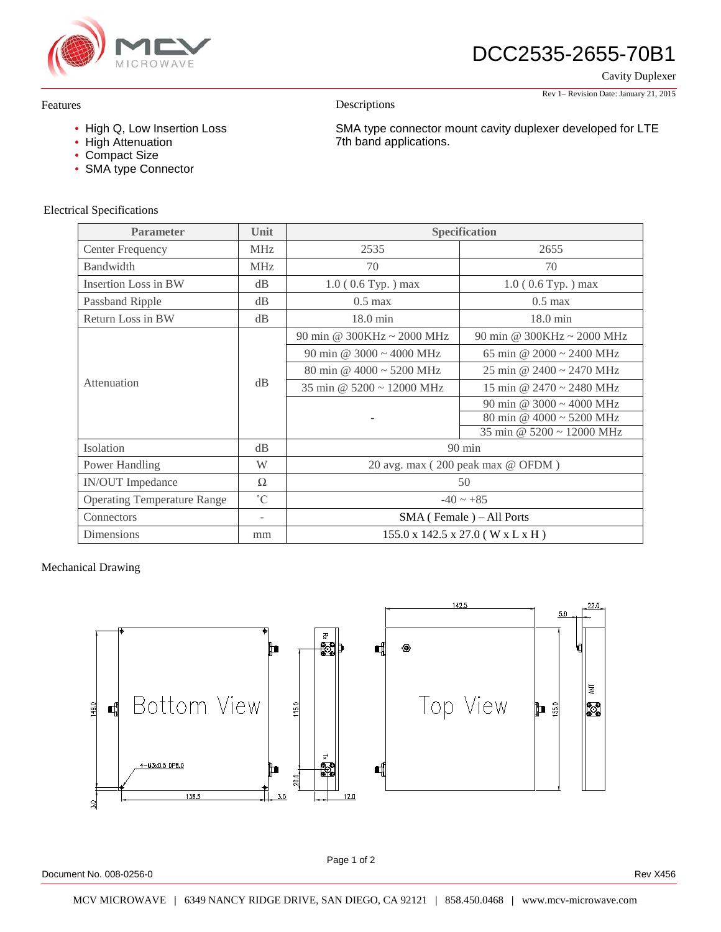

DCC2535-2655-70B1

SMA type connector mount cavity duplexer developed for LTE

Cavity Duplexer

#### Rev 1– Revision Date: January 21, 2015

#### Features

- High Q, Low Insertion Loss
- High Attenuation
- Compact Size
- SMA type Connector

#### Electrical Specifications

| <b>Parameter</b>                   | Unit                     | <b>Specification</b>                                       |                                 |
|------------------------------------|--------------------------|------------------------------------------------------------|---------------------------------|
| Center Frequency                   | <b>MHz</b>               | 2535                                                       | 2655                            |
| Bandwidth                          | <b>MHz</b>               | 70                                                         | 70                              |
| Insertion Loss in BW               | dB                       | $1.0$ (0.6 Typ.) max                                       | $1.0$ (0.6 Typ.) max            |
| Passband Ripple                    | dB                       | $0.5$ max                                                  | $0.5$ max                       |
| Return Loss in BW                  | dB                       | $18.0 \text{ min}$                                         | $18.0 \text{ min}$              |
| Attenuation                        | dB                       | 90 min @ 300KHz ~ 2000 MHz                                 | 90 min @ 300KHz $\sim$ 2000 MHz |
|                                    |                          | 90 min @ $3000 \sim 4000$ MHz                              | 65 min @ $2000 \sim 2400$ MHz   |
|                                    |                          | 80 min @ $4000 \sim 5200$ MHz                              | 25 min @ 2400 ~ 2470 MHz        |
|                                    |                          | 35 min @ $5200 \approx 12000$ MHz                          | 15 min @ $2470 \sim 2480$ MHz   |
|                                    |                          |                                                            | 90 min @ $3000 \sim 4000$ MHz   |
|                                    |                          |                                                            | 80 min @ $4000 \sim 5200$ MHz   |
|                                    |                          |                                                            | 35 min @ 5200 ~ 12000 MHz       |
| <b>Isolation</b>                   | dB                       | $90 \text{ min}$                                           |                                 |
| Power Handling                     | W                        | 20 avg. max (200 peak max @ OFDM)                          |                                 |
| <b>IN/OUT</b> Impedance            | Ω                        | 50                                                         |                                 |
| <b>Operating Temperature Range</b> | $\rm ^{\circ}C$          | $-40 \sim +85$                                             |                                 |
| Connectors                         | $\overline{\phantom{a}}$ | $SMA$ (Female) – All Ports                                 |                                 |
| Dimensions                         | mm                       | $155.0 \times 142.5 \times 27.0$ (W $\times$ L $\times$ H) |                                 |

Descriptions

7th band applications.

### Mechanical Drawing



Document No. 008-0256-0 Rev X456

Page 1 of 2